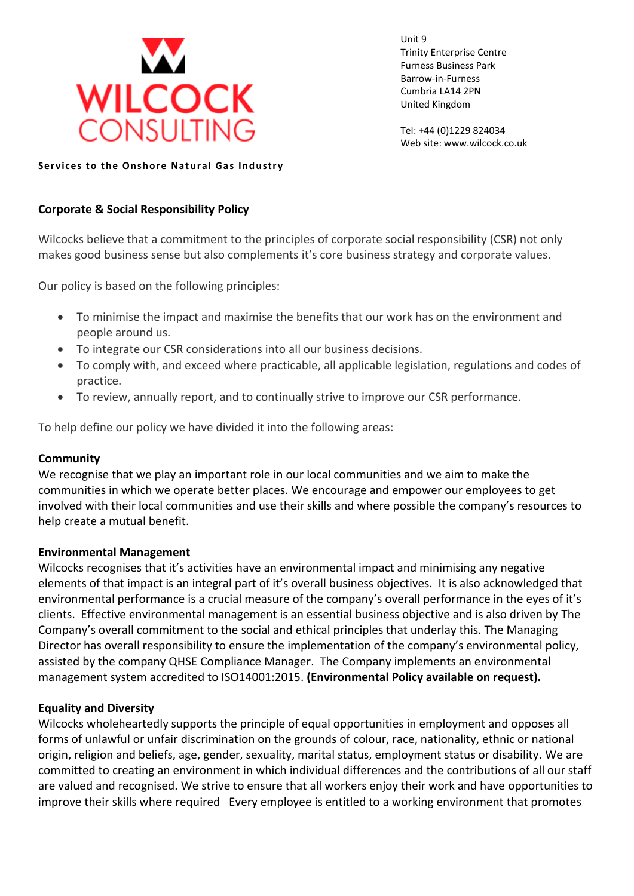

Unit 9 Trinity Enterprise Centre Furness Business Park Barrow-in-Furness Cumbria LA14 2PN United Kingdom

Tel: +44 (0)1229 824034 Web site: www.wilcock.co.uk

**Services to the Onshore Natural Gas Industry** 

# **Corporate & Social Responsibility Policy**

Wilcocks believe that a commitment to the principles of corporate social responsibility (CSR) not only makes good business sense but also complements it's core business strategy and corporate values.

Our policy is based on the following principles:

- To minimise the impact and maximise the benefits that our work has on the environment and people around us.
- To integrate our CSR considerations into all our business decisions.
- To comply with, and exceed where practicable, all applicable legislation, regulations and codes of practice.
- To review, annually report, and to continually strive to improve our CSR performance.

To help define our policy we have divided it into the following areas:

#### **Community**

We recognise that we play an important role in our local communities and we aim to make the communities in which we operate better places. We encourage and empower our employees to get involved with their local communities and use their skills and where possible the company's resources to help create a mutual benefit.

#### **Environmental Management**

Wilcocks recognises that it's activities have an environmental impact and minimising any negative elements of that impact is an integral part of it's overall business objectives. It is also acknowledged that environmental performance is a crucial measure of the company's overall performance in the eyes of it's clients. Effective environmental management is an essential business objective and is also driven by The Company's overall commitment to the social and ethical principles that underlay this. The Managing Director has overall responsibility to ensure the implementation of the company's environmental policy, assisted by the company QHSE Compliance Manager. The Company implements an environmental management system accredited to ISO14001:2015. **(Environmental Policy available on request).**

#### **Equality and Diversity**

Wilcocks wholeheartedly supports the principle of equal opportunities in employment and opposes all forms of unlawful or unfair discrimination on the grounds of colour, race, nationality, ethnic or national origin, religion and beliefs, age, gender, sexuality, marital status, employment status or disability. We are committed to creating an environment in which individual differences and the contributions of all our staff are valued and recognised. We strive to ensure that all workers enjoy their work and have opportunities to improve their skills where required Every employee is entitled to a working environment that promotes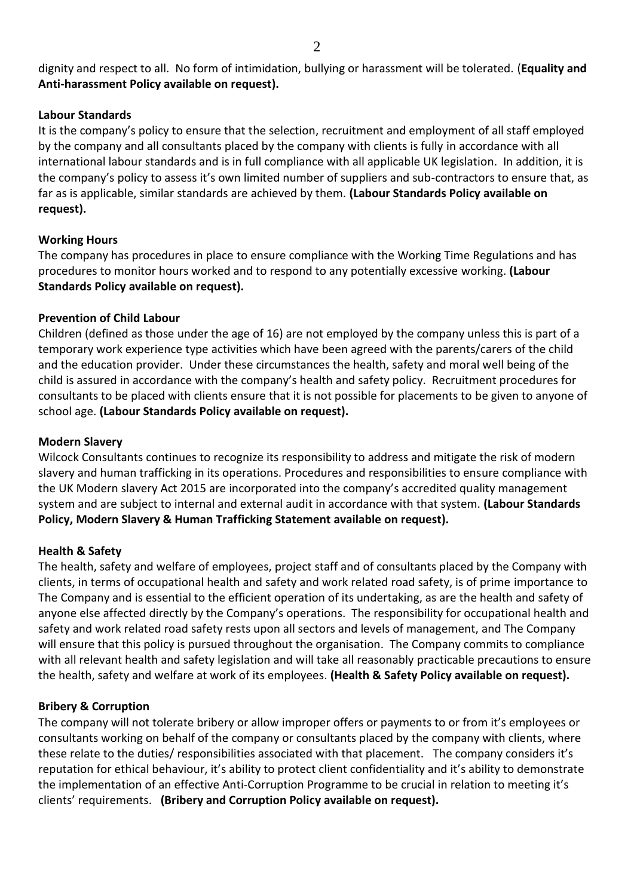dignity and respect to all. No form of intimidation, bullying or harassment will be tolerated. (**Equality and Anti-harassment Policy available on request).**

#### **Labour Standards**

It is the company's policy to ensure that the selection, recruitment and employment of all staff employed by the company and all consultants placed by the company with clients is fully in accordance with all international labour standards and is in full compliance with all applicable UK legislation. In addition, it is the company's policy to assess it's own limited number of suppliers and sub-contractors to ensure that, as far as is applicable, similar standards are achieved by them. **(Labour Standards Policy available on request).**

# **Working Hours**

The company has procedures in place to ensure compliance with the Working Time Regulations and has procedures to monitor hours worked and to respond to any potentially excessive working. **(Labour Standards Policy available on request).**

# **Prevention of Child Labour**

Children (defined as those under the age of 16) are not employed by the company unless this is part of a temporary work experience type activities which have been agreed with the parents/carers of the child and the education provider. Under these circumstances the health, safety and moral well being of the child is assured in accordance with the company's health and safety policy. Recruitment procedures for consultants to be placed with clients ensure that it is not possible for placements to be given to anyone of school age. **(Labour Standards Policy available on request).**

#### **Modern Slavery**

Wilcock Consultants continues to recognize its responsibility to address and mitigate the risk of modern slavery and human trafficking in its operations. Procedures and responsibilities to ensure compliance with the UK Modern slavery Act 2015 are incorporated into the company's accredited quality management system and are subject to internal and external audit in accordance with that system. **(Labour Standards Policy, Modern Slavery & Human Trafficking Statement available on request).**

# **Health & Safety**

The health, safety and welfare of employees, project staff and of consultants placed by the Company with clients, in terms of occupational health and safety and work related road safety, is of prime importance to The Company and is essential to the efficient operation of its undertaking, as are the health and safety of anyone else affected directly by the Company's operations. The responsibility for occupational health and safety and work related road safety rests upon all sectors and levels of management, and The Company will ensure that this policy is pursued throughout the organisation. The Company commits to compliance with all relevant health and safety legislation and will take all reasonably practicable precautions to ensure the health, safety and welfare at work of its employees. **(Health & Safety Policy available on request).**

# **Bribery & Corruption**

The company will not tolerate bribery or allow improper offers or payments to or from it's employees or consultants working on behalf of the company or consultants placed by the company with clients, where these relate to the duties/ responsibilities associated with that placement. The company considers it's reputation for ethical behaviour, it's ability to protect client confidentiality and it's ability to demonstrate the implementation of an effective Anti-Corruption Programme to be crucial in relation to meeting it's clients' requirements. **(Bribery and Corruption Policy available on request).**